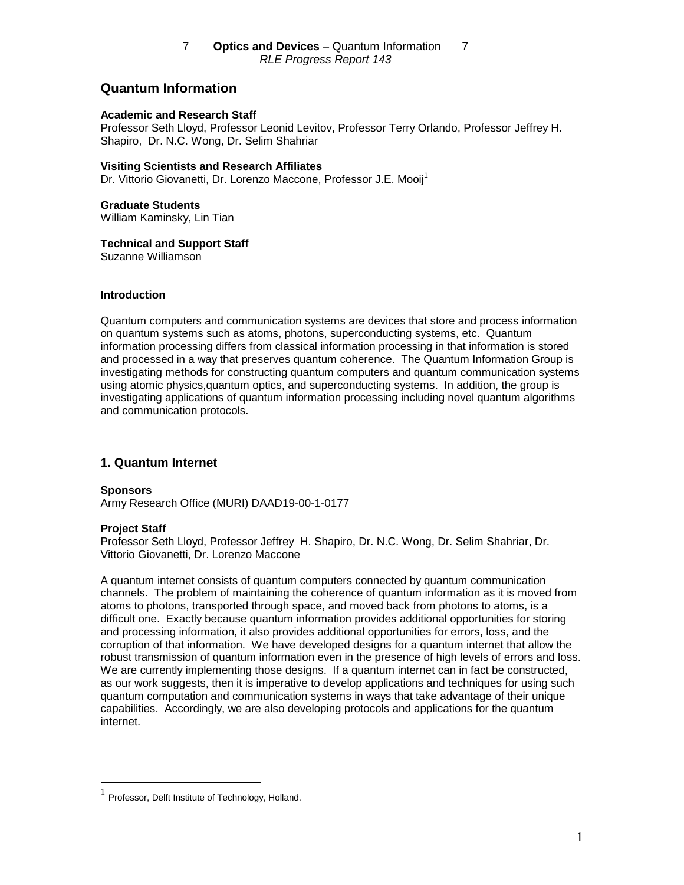# **Quantum Information**

## **Academic and Research Staff**

Professor Seth Lloyd, Professor Leonid Levitov, Professor Terry Orlando, Professor Jeffrey H. Shapiro, Dr. N.C. Wong, Dr. Selim Shahriar

## **Visiting Scientists and Research Affiliates**

Dr. Vittorio Giovanetti, Dr. Lorenzo Maccone, Professor J.E. Mooij<sup>1</sup>

# **Graduate Students**

William Kaminsky, Lin Tian

# **Technical and Support Staff**

Suzanne Williamson

## **Introduction**

Quantum computers and communication systems are devices that store and process information on quantum systems such as atoms, photons, superconducting systems, etc. Quantum information processing differs from classical information processing in that information is stored and processed in a way that preserves quantum coherence. The Quantum Information Group is investigating methods for constructing quantum computers and quantum communication systems using atomic physics,quantum optics, and superconducting systems. In addition, the group is investigating applications of quantum information processing including novel quantum algorithms and communication protocols.

# **1. Quantum Internet**

**Sponsors** Army Research Office (MURI) DAAD19-00-1-0177

# **Project Staff**

Professor Seth Lloyd, Professor Jeffrey H. Shapiro, Dr. N.C. Wong, Dr. Selim Shahriar, Dr. Vittorio Giovanetti, Dr. Lorenzo Maccone

A quantum internet consists of quantum computers connected by quantum communication channels. The problem of maintaining the coherence of quantum information as it is moved from atoms to photons, transported through space, and moved back from photons to atoms, is a difficult one. Exactly because quantum information provides additional opportunities for storing and processing information, it also provides additional opportunities for errors, loss, and the corruption of that information. We have developed designs for a quantum internet that allow the robust transmission of quantum information even in the presence of high levels of errors and loss. We are currently implementing those designs. If a quantum internet can in fact be constructed, as our work suggests, then it is imperative to develop applications and techniques for using such quantum computation and communication systems in ways that take advantage of their unique capabilities. Accordingly, we are also developing protocols and applications for the quantum internet.

Professor, Delft Institute of Technology, Holland.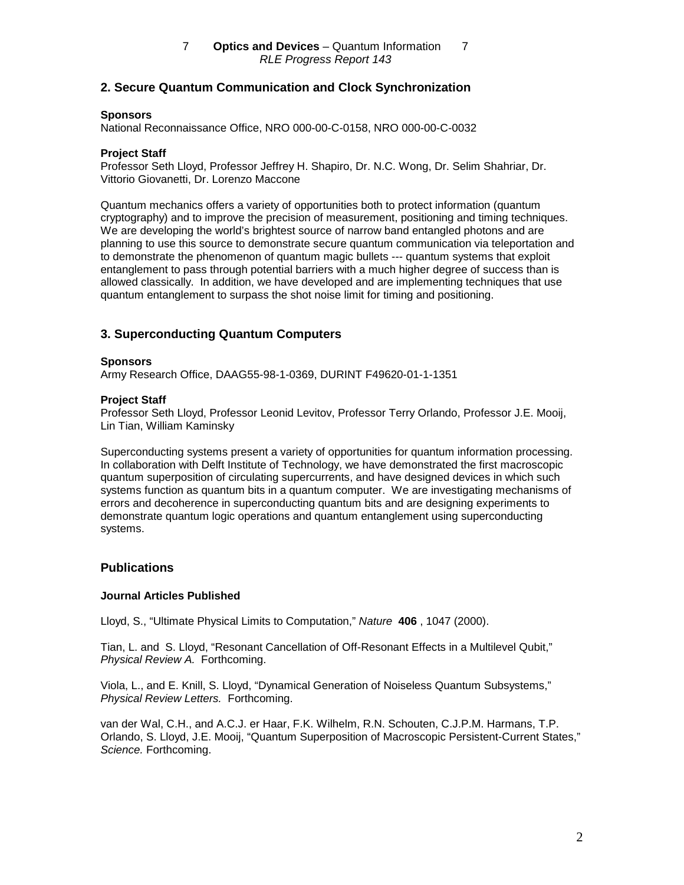# **2. Secure Quantum Communication and Clock Synchronization**

#### **Sponsors**

National Reconnaissance Office, NRO 000-00-C-0158, NRO 000-00-C-0032

## **Project Staff**

Professor Seth Lloyd, Professor Jeffrey H. Shapiro, Dr. N.C. Wong, Dr. Selim Shahriar, Dr. Vittorio Giovanetti, Dr. Lorenzo Maccone

Quantum mechanics offers a variety of opportunities both to protect information (quantum cryptography) and to improve the precision of measurement, positioning and timing techniques. We are developing the world's brightest source of narrow band entangled photons and are planning to use this source to demonstrate secure quantum communication via teleportation and to demonstrate the phenomenon of quantum magic bullets --- quantum systems that exploit entanglement to pass through potential barriers with a much higher degree of success than is allowed classically. In addition, we have developed and are implementing techniques that use quantum entanglement to surpass the shot noise limit for timing and positioning.

# **3. Superconducting Quantum Computers**

#### **Sponsors**

Army Research Office, DAAG55-98-1-0369, DURINT F49620-01-1-1351

#### **Project Staff**

Professor Seth Lloyd, Professor Leonid Levitov, Professor Terry Orlando, Professor J.E. Mooij, Lin Tian, William Kaminsky

Superconducting systems present a variety of opportunities for quantum information processing. In collaboration with Delft Institute of Technology, we have demonstrated the first macroscopic quantum superposition of circulating supercurrents, and have designed devices in which such systems function as quantum bits in a quantum computer. We are investigating mechanisms of errors and decoherence in superconducting quantum bits and are designing experiments to demonstrate quantum logic operations and quantum entanglement using superconducting systems.

# **Publications**

#### **Journal Articles Published**

Lloyd, S., "Ultimate Physical Limits to Computation," Nature **406** , 1047 (2000).

Tian, L. and S. Lloyd, "Resonant Cancellation of Off-Resonant Effects in a Multilevel Qubit," Physical Review A. Forthcoming.

Viola, L., and E. Knill, S. Lloyd, "Dynamical Generation of Noiseless Quantum Subsystems," Physical Review Letters. Forthcoming.

van der Wal, C.H., and A.C.J. er Haar, F.K. Wilhelm, R.N. Schouten, C.J.P.M. Harmans, T.P. Orlando, S. Lloyd, J.E. Mooij, "Quantum Superposition of Macroscopic Persistent-Current States," Science. Forthcoming.